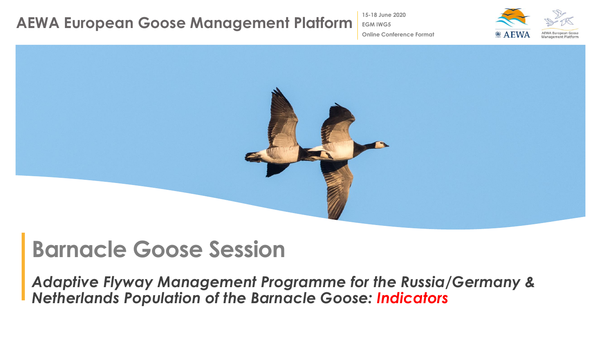**15-18 June 2020**

**Online Conference Format**

**EGM IWG5**



# **Barnacle Goose Session**

*Adaptive Flyway Management Programme for the Russia/Germany & Netherlands Population of the Barnacle Goose: Indicators*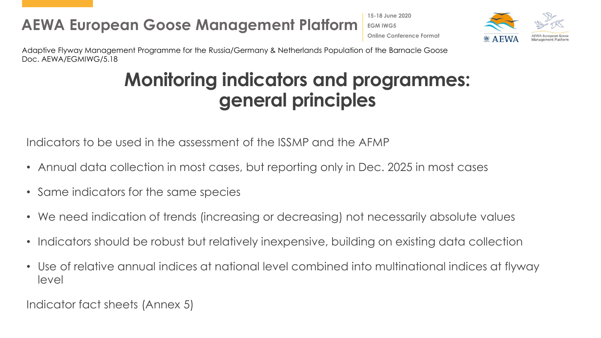**15-18 June 2020 EGM IWG5 Online Conference Format**



Adaptive Flyway Management Programme for the Russia/Germany & Netherlands Population of the Barnacle Goose Doc. AEWA/EGMIWG/5.18

# **Monitoring indicators and programmes: general principles**

Indicators to be used in the assessment of the ISSMP and the AFMP

- Annual data collection in most cases, but reporting only in Dec. 2025 in most cases
- Same indicators for the same species
- We need indication of trends (increasing or decreasing) not necessarily absolute values
- Indicators should be robust but relatively inexpensive, building on existing data collection
- Use of relative annual indices at national level combined into multinational indices at flyway level

Indicator fact sheets (Annex 5)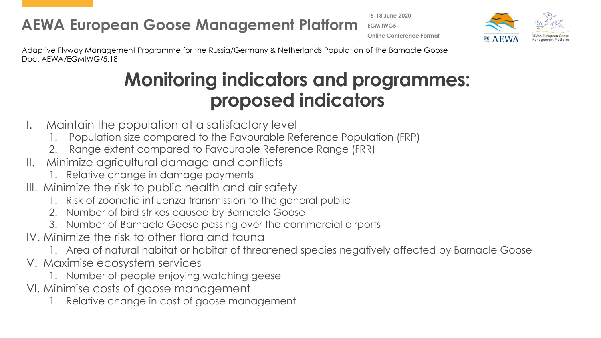**15-18 June 2020 EGM IWG5 Online Conference Format**



Adaptive Flyway Management Programme for the Russia/Germany & Netherlands Population of the Barnacle Goose Doc. AEWA/EGMIWG/5.18

# **Monitoring indicators and programmes: proposed indicators**

- I. Maintain the population at a satisfactory level
	- 1. Population size compared to the Favourable Reference Population (FRP)
	- 2. Range extent compared to Favourable Reference Range (FRR)
- II. Minimize agricultural damage and conflicts
	- 1. Relative change in damage payments
- III. Minimize the risk to public health and air safety
	- 1. Risk of zoonotic influenza transmission to the general public
	- 2. Number of bird strikes caused by Barnacle Goose
	- 3. Number of Barnacle Geese passing over the commercial airports
- IV. Minimize the risk to other flora and fauna
	- 1. Area of natural habitat or habitat of threatened species negatively affected by Barnacle Goose
- V. Maximise ecosystem services
	- 1. Number of people enjoying watching geese
- VI. Minimise costs of goose management
	- 1. Relative change in cost of goose management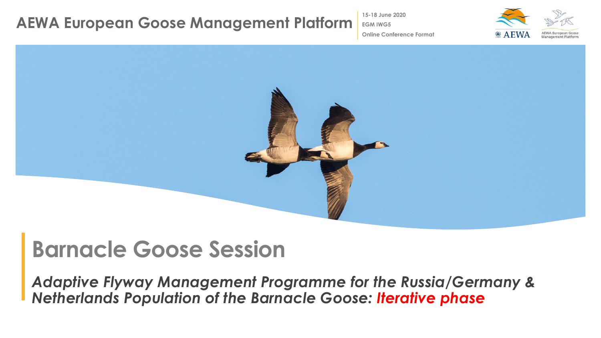**15-18 June 2020**

**Online Conference Format**

**EGM IWG5**



# **Barnacle Goose Session**

*Adaptive Flyway Management Programme for the Russia/Germany & Netherlands Population of the Barnacle Goose: Iterative phase*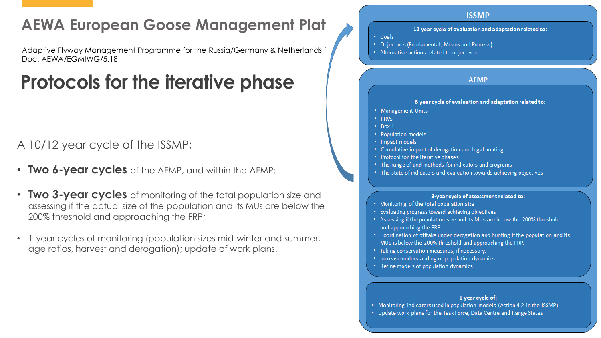Adaptive Flyway Management Programme for the Russia/Germany & Netherlands Population of the Russia of the Barnacle Goose Retains related to objectives Doc. AEWA/EGMIWG/5.18

# **Protocols for the iterative phase**

#### A 10/12 year cycle of the ISSMP;

- **Two 6-year cycles** of the AFMP, and within the AFMP:
- **Two 3-year cycles** of monitoring of the total population size and assessing if the actual size of the population and its MUs are below the 200% threshold and approaching the FRP;
- 1-year cycles of monitoring (population sizes mid-winter and summer, age ratios, harvest and derogation); update of work plans.



#### 1 year cycle of:



• Update work plans for the Task Force, Data Centre and Range States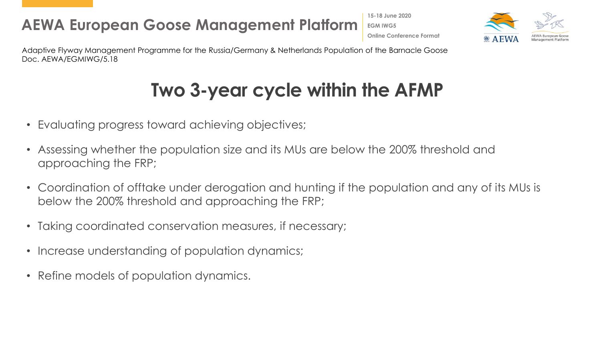**15-18 June 2020 EGM IWG5 Online Conference Format**



Adaptive Flyway Management Programme for the Russia/Germany & Netherlands Population of the Barnacle Goose Doc. AEWA/EGMIWG/5.18

# **Two 3-year cycle within the AFMP**

- Evaluating progress toward achieving objectives;
- Assessing whether the population size and its MUs are below the 200% threshold and approaching the FRP;
- Coordination of offtake under derogation and hunting if the population and any of its MUs is below the 200% threshold and approaching the FRP;
- Taking coordinated conservation measures, if necessary;
- Increase understanding of population dynamics;
- Refine models of population dynamics.